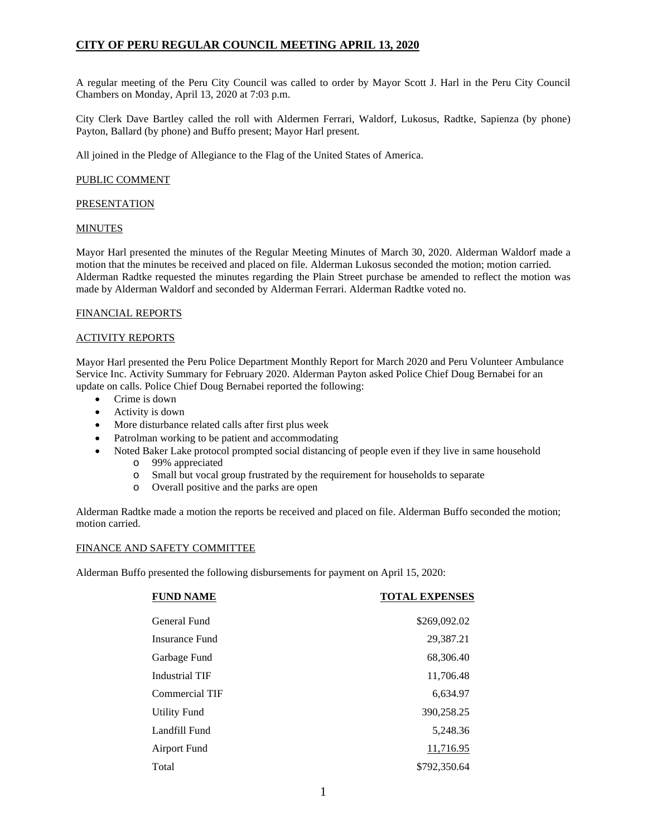## **CITY OF PERU REGULAR COUNCIL MEETING APRIL 13, 2020**

A regular meeting of the Peru City Council was called to order by Mayor Scott J. Harl in the Peru City Council Chambers on Monday, April 13, 2020 at 7:03 p.m.

City Clerk Dave Bartley called the roll with Aldermen Ferrari, Waldorf, Lukosus, Radtke, Sapienza (by phone) Payton, Ballard (by phone) and Buffo present; Mayor Harl present.

All joined in the Pledge of Allegiance to the Flag of the United States of America.

#### PUBLIC COMMENT

#### **PRESENTATION**

#### MINUTES

Mayor Harl presented the minutes of the Regular Meeting Minutes of March 30, 2020. Alderman Waldorf made a motion that the minutes be received and placed on file. Alderman Lukosus seconded the motion; motion carried. Alderman Radtke requested the minutes regarding the Plain Street purchase be amended to reflect the motion was made by Alderman Waldorf and seconded by Alderman Ferrari. Alderman Radtke voted no.

#### FINANCIAL REPORTS

#### ACTIVITY REPORTS

Mayor Harl presented the Peru Police Department Monthly Report for March 2020 and Peru Volunteer Ambulance Service Inc. Activity Summary for February 2020. Alderman Payton asked Police Chief Doug Bernabei for an update on calls. Police Chief Doug Bernabei reported the following:

- Crime is down
- Activity is down
- More disturbance related calls after first plus week
- Patrolman working to be patient and accommodating
- Noted Baker Lake protocol prompted social distancing of people even if they live in same household
	- o 99% appreciated
	- o Small but vocal group frustrated by the requirement for households to separate
	- o Overall positive and the parks are open

Alderman Radtke made a motion the reports be received and placed on file. Alderman Buffo seconded the motion; motion carried.

#### FINANCE AND SAFETY COMMITTEE

Alderman Buffo presented the following disbursements for payment on April 15, 2020:

| <b>FUND NAME</b>      | <b>TOTAL EXPENSES</b> |
|-----------------------|-----------------------|
| General Fund          | \$269,092.02          |
| Insurance Fund        | 29,387.21             |
| Garbage Fund          | 68,306.40             |
| <b>Industrial TIF</b> | 11,706.48             |
| Commercial TIF        | 6,634.97              |
| <b>Utility Fund</b>   | 390,258.25            |
| Landfill Fund         | 5,248.36              |
| <b>Airport Fund</b>   | 11,716.95             |
| Total                 | \$792,350.64          |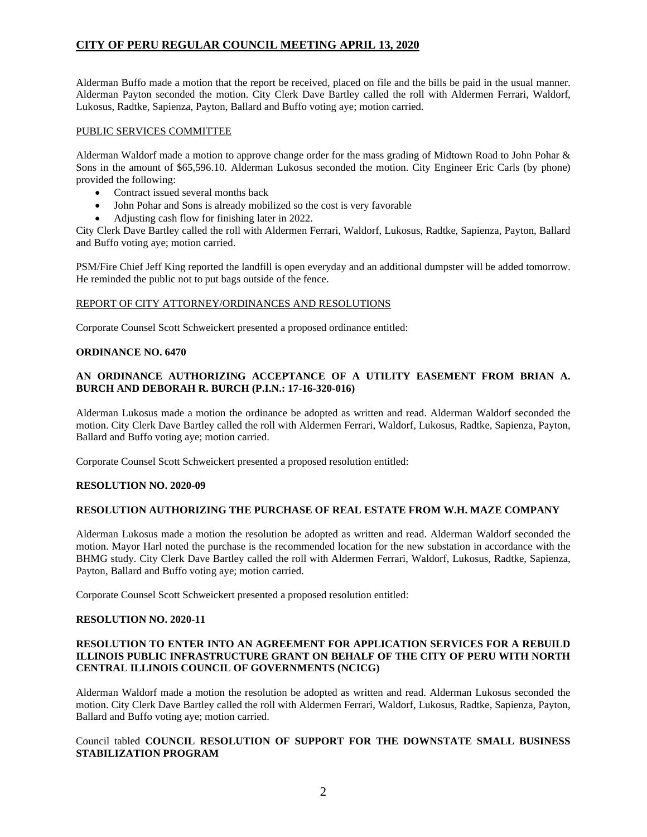# **CITY OF PERU REGULAR COUNCIL MEETING APRIL 13, 2020**

Alderman Buffo made a motion that the report be received, placed on file and the bills be paid in the usual manner. Alderman Payton seconded the motion. City Clerk Dave Bartley called the roll with Aldermen Ferrari, Waldorf, Lukosus, Radtke, Sapienza, Payton, Ballard and Buffo voting aye; motion carried.

### PUBLIC SERVICES COMMITTEE

Alderman Waldorf made a motion to approve change order for the mass grading of Midtown Road to John Pohar & Sons in the amount of \$65,596.10. Alderman Lukosus seconded the motion. City Engineer Eric Carls (by phone) provided the following:

- Contract issued several months back
- John Pohar and Sons is already mobilized so the cost is very favorable
- Adjusting cash flow for finishing later in 2022.

City Clerk Dave Bartley called the roll with Aldermen Ferrari, Waldorf, Lukosus, Radtke, Sapienza, Payton, Ballard and Buffo voting aye; motion carried.

PSM/Fire Chief Jeff King reported the landfill is open everyday and an additional dumpster will be added tomorrow. He reminded the public not to put bags outside of the fence.

### REPORT OF CITY ATTORNEY/ORDINANCES AND RESOLUTIONS

Corporate Counsel Scott Schweickert presented a proposed ordinance entitled:

#### **ORDINANCE NO. 6470**

### **AN ORDINANCE AUTHORIZING ACCEPTANCE OF A UTILITY EASEMENT FROM BRIAN A. BURCH AND DEBORAH R. BURCH (P.I.N.: 17-16-320-016)**

Alderman Lukosus made a motion the ordinance be adopted as written and read. Alderman Waldorf seconded the motion. City Clerk Dave Bartley called the roll with Aldermen Ferrari, Waldorf, Lukosus, Radtke, Sapienza, Payton, Ballard and Buffo voting aye; motion carried.

Corporate Counsel Scott Schweickert presented a proposed resolution entitled:

#### **RESOLUTION NO. 2020-09**

#### **RESOLUTION AUTHORIZING THE PURCHASE OF REAL ESTATE FROM W.H. MAZE COMPANY**

Alderman Lukosus made a motion the resolution be adopted as written and read. Alderman Waldorf seconded the motion. Mayor Harl noted the purchase is the recommended location for the new substation in accordance with the BHMG study. City Clerk Dave Bartley called the roll with Aldermen Ferrari, Waldorf, Lukosus, Radtke, Sapienza, Payton, Ballard and Buffo voting aye; motion carried.

Corporate Counsel Scott Schweickert presented a proposed resolution entitled:

#### **RESOLUTION NO. 2020-11**

#### **RESOLUTION TO ENTER INTO AN AGREEMENT FOR APPLICATION SERVICES FOR A REBUILD ILLINOIS PUBLIC INFRASTRUCTURE GRANT ON BEHALF OF THE CITY OF PERU WITH NORTH CENTRAL ILLINOIS COUNCIL OF GOVERNMENTS (NCICG)**

Alderman Waldorf made a motion the resolution be adopted as written and read. Alderman Lukosus seconded the motion. City Clerk Dave Bartley called the roll with Aldermen Ferrari, Waldorf, Lukosus, Radtke, Sapienza, Payton, Ballard and Buffo voting aye; motion carried.

## Council tabled **COUNCIL RESOLUTION OF SUPPORT FOR THE DOWNSTATE SMALL BUSINESS STABILIZATION PROGRAM**